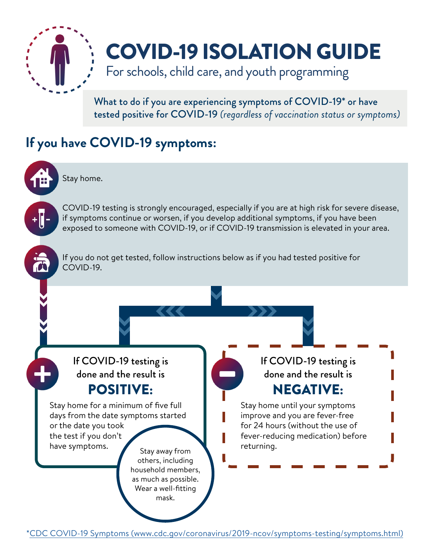

# COVID-19 ISOLATION GUIDE

For schools, child care, and youth programming

What to do if you are experiencing symptoms of COVID-19\* or have tested positive for COVID-19 *(regardless of vaccination status or symptoms)*

### **If you have COVID-19 symptoms:**



Stay home.

COVID-19 testing is strongly encouraged, especially if you are at high risk for severe disease, if symptoms continue or worsen, if you develop additional symptoms, if you have been exposed to someone with COVID-19, or if COVID-19 transmission is elevated in your area.



If you do not get tested, follow instructions below as if you had tested positive for COVID-19.

If COVID-19 testing is done and the result is POSITIVE:

Stay home for a minimum of five full days from the date symptoms started or the date you took the test if you don't

have symptoms. Stay away from others, including household members, as much as possible. Wear a well-fitting

mask.

If COVID-19 testing is done and the result is NEGATIVE:

## Stay home until your symptoms

improve and you are fever-free for 24 hours (without the use of fever-reducing medication) before returning.